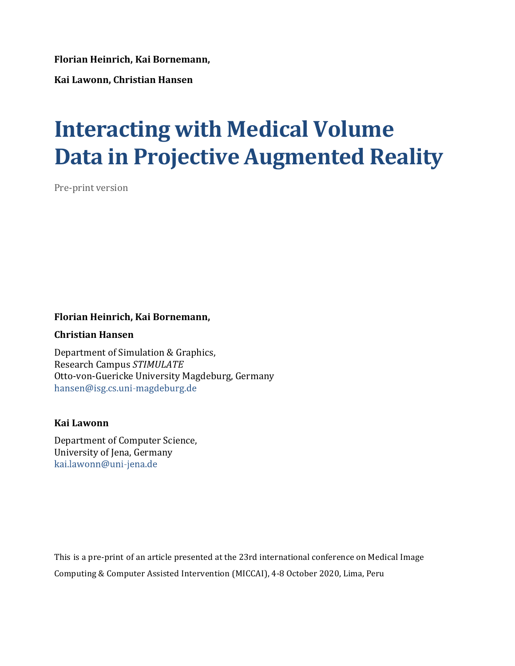**Florian Heinrich, Kai Bornemann,** 

**Kai Lawonn, Christian Hansen** 

# **Interacting with Medical Volume Data in Projective Augmented Reality**

Pre-print version

# **Florian Heinrich, Kai Bornemann,**

# **Christian Hansen**

Department of Simulation & Graphics, Research Campus *STIMULATE* Otto-von-Guericke University Magdeburg, Germany hansen@isg.cs.uni-magdeburg.de

# **Kai Lawonn**

Department of Computer Science, University of Jena, Germany<br>kai.lawonn@uni-jena.de

This is a pre-print of an article presented at the 23rd international conference on Medical Image Computing & Computer Assisted Intervention (MICCAI), 4-8 October 2020, Lima, Peru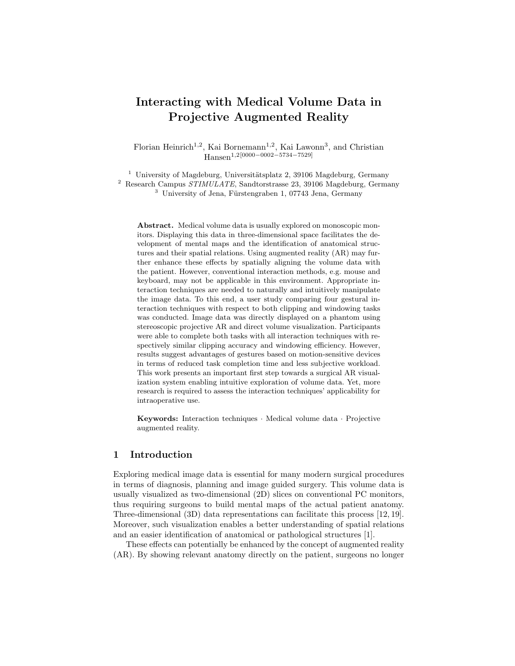# Interacting with Medical Volume Data in Projective Augmented Reality

Florian Heinrich<sup>1,2</sup>, Kai Bornemann<sup>1,2</sup>, Kai Lawonn<sup>3</sup>, and Christian Hansen1,2[0000−0002−5734−7529]

 $1$  University of Magdeburg, Universitätsplatz 2, 39106 Magdeburg, Germany

 $^2$  Research Campus  $STIMULATE$ , Sandtorstrasse 23, 39106 Magdeburg, Germany

 $3$  University of Jena, Fürstengraben 1, 07743 Jena, Germany

Abstract. Medical volume data is usually explored on monoscopic monitors. Displaying this data in three-dimensional space facilitates the development of mental maps and the identification of anatomical structures and their spatial relations. Using augmented reality (AR) may further enhance these effects by spatially aligning the volume data with the patient. However, conventional interaction methods, e.g. mouse and keyboard, may not be applicable in this environment. Appropriate interaction techniques are needed to naturally and intuitively manipulate the image data. To this end, a user study comparing four gestural interaction techniques with respect to both clipping and windowing tasks was conducted. Image data was directly displayed on a phantom using stereoscopic projective AR and direct volume visualization. Participants were able to complete both tasks with all interaction techniques with respectively similar clipping accuracy and windowing efficiency. However, results suggest advantages of gestures based on motion-sensitive devices in terms of reduced task completion time and less subjective workload. This work presents an important first step towards a surgical AR visualization system enabling intuitive exploration of volume data. Yet, more research is required to assess the interaction techniques' applicability for intraoperative use.

Keywords: Interaction techniques · Medical volume data · Projective augmented reality.

## 1 Introduction

Exploring medical image data is essential for many modern surgical procedures in terms of diagnosis, planning and image guided surgery. This volume data is usually visualized as two-dimensional (2D) slices on conventional PC monitors, thus requiring surgeons to build mental maps of the actual patient anatomy. Three-dimensional (3D) data representations can facilitate this process [12, 19]. Moreover, such visualization enables a better understanding of spatial relations and an easier identification of anatomical or pathological structures [1].

These effects can potentially be enhanced by the concept of augmented reality (AR). By showing relevant anatomy directly on the patient, surgeons no longer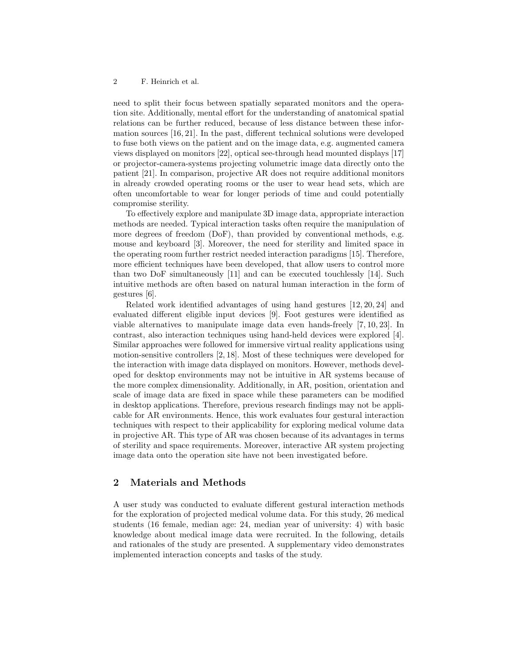need to split their focus between spatially separated monitors and the operation site. Additionally, mental effort for the understanding of anatomical spatial relations can be further reduced, because of less distance between these information sources [16, 21]. In the past, different technical solutions were developed to fuse both views on the patient and on the image data, e.g. augmented camera views displayed on monitors [22], optical see-through head mounted displays [17] or projector-camera-systems projecting volumetric image data directly onto the patient [21]. In comparison, projective AR does not require additional monitors in already crowded operating rooms or the user to wear head sets, which are often uncomfortable to wear for longer periods of time and could potentially compromise sterility.

To effectively explore and manipulate 3D image data, appropriate interaction methods are needed. Typical interaction tasks often require the manipulation of more degrees of freedom (DoF), than provided by conventional methods, e.g. mouse and keyboard [3]. Moreover, the need for sterility and limited space in the operating room further restrict needed interaction paradigms [15]. Therefore, more efficient techniques have been developed, that allow users to control more than two DoF simultaneously [11] and can be executed touchlessly [14]. Such intuitive methods are often based on natural human interaction in the form of gestures [6].

Related work identified advantages of using hand gestures [12, 20, 24] and evaluated different eligible input devices [9]. Foot gestures were identified as viable alternatives to manipulate image data even hands-freely [7, 10, 23]. In contrast, also interaction techniques using hand-held devices were explored [4]. Similar approaches were followed for immersive virtual reality applications using motion-sensitive controllers [2, 18]. Most of these techniques were developed for the interaction with image data displayed on monitors. However, methods developed for desktop environments may not be intuitive in AR systems because of the more complex dimensionality. Additionally, in AR, position, orientation and scale of image data are fixed in space while these parameters can be modified in desktop applications. Therefore, previous research findings may not be applicable for AR environments. Hence, this work evaluates four gestural interaction techniques with respect to their applicability for exploring medical volume data in projective AR. This type of AR was chosen because of its advantages in terms of sterility and space requirements. Moreover, interactive AR system projecting image data onto the operation site have not been investigated before.

# 2 Materials and Methods

A user study was conducted to evaluate different gestural interaction methods for the exploration of projected medical volume data. For this study, 26 medical students (16 female, median age: 24, median year of university: 4) with basic knowledge about medical image data were recruited. In the following, details and rationales of the study are presented. A supplementary video demonstrates implemented interaction concepts and tasks of the study.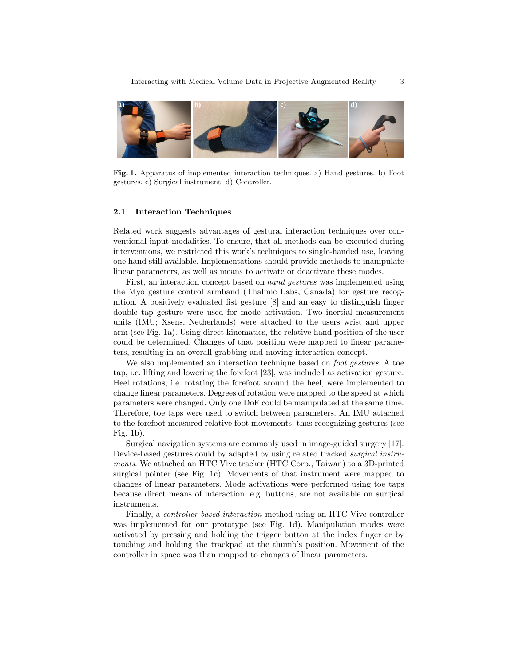

Fig. 1. Apparatus of implemented interaction techniques. a) Hand gestures. b) Foot gestures. c) Surgical instrument. d) Controller.

#### 2.1 Interaction Techniques

Related work suggests advantages of gestural interaction techniques over conventional input modalities. To ensure, that all methods can be executed during interventions, we restricted this work's techniques to single-handed use, leaving one hand still available. Implementations should provide methods to manipulate linear parameters, as well as means to activate or deactivate these modes.

First, an interaction concept based on hand gestures was implemented using the Myo gesture control armband (Thalmic Labs, Canada) for gesture recognition. A positively evaluated fist gesture [8] and an easy to distinguish finger double tap gesture were used for mode activation. Two inertial measurement units (IMU; Xsens, Netherlands) were attached to the users wrist and upper arm (see Fig. 1a). Using direct kinematics, the relative hand position of the user could be determined. Changes of that position were mapped to linear parameters, resulting in an overall grabbing and moving interaction concept.

We also implemented an interaction technique based on foot gestures. A toe tap, i.e. lifting and lowering the forefoot [23], was included as activation gesture. Heel rotations, i.e. rotating the forefoot around the heel, were implemented to change linear parameters. Degrees of rotation were mapped to the speed at which parameters were changed. Only one DoF could be manipulated at the same time. Therefore, toe taps were used to switch between parameters. An IMU attached to the forefoot measured relative foot movements, thus recognizing gestures (see Fig. 1b).

Surgical navigation systems are commonly used in image-guided surgery [17]. Device-based gestures could by adapted by using related tracked surgical instruments. We attached an HTC Vive tracker (HTC Corp., Taiwan) to a 3D-printed surgical pointer (see Fig. 1c). Movements of that instrument were mapped to changes of linear parameters. Mode activations were performed using toe taps because direct means of interaction, e.g. buttons, are not available on surgical instruments.

Finally, a controller-based interaction method using an HTC Vive controller was implemented for our prototype (see Fig. 1d). Manipulation modes were activated by pressing and holding the trigger button at the index finger or by touching and holding the trackpad at the thumb's position. Movement of the controller in space was than mapped to changes of linear parameters.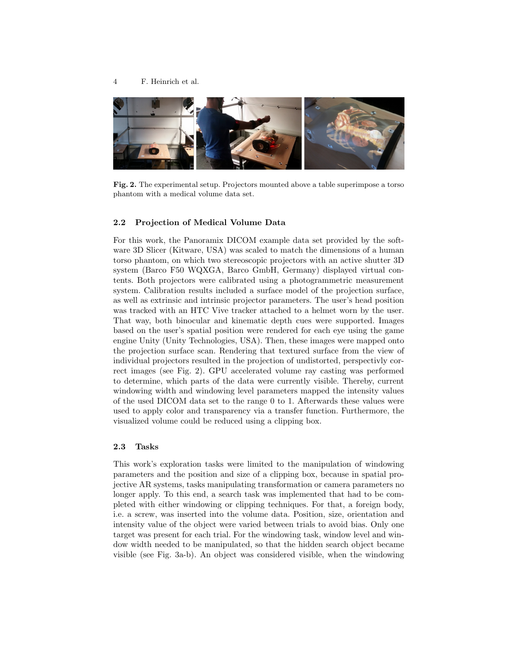

Fig. 2. The experimental setup. Projectors mounted above a table superimpose a torso phantom with a medical volume data set.

#### 2.2 Projection of Medical Volume Data

For this work, the Panoramix DICOM example data set provided by the software 3D Slicer (Kitware, USA) was scaled to match the dimensions of a human torso phantom, on which two stereoscopic projectors with an active shutter 3D system (Barco F50 WQXGA, Barco GmbH, Germany) displayed virtual contents. Both projectors were calibrated using a photogrammetric measurement system. Calibration results included a surface model of the projection surface, as well as extrinsic and intrinsic projector parameters. The user's head position was tracked with an HTC Vive tracker attached to a helmet worn by the user. That way, both binocular and kinematic depth cues were supported. Images based on the user's spatial position were rendered for each eye using the game engine Unity (Unity Technologies, USA). Then, these images were mapped onto the projection surface scan. Rendering that textured surface from the view of individual projectors resulted in the projection of undistorted, perspectivly correct images (see Fig. 2). GPU accelerated volume ray casting was performed to determine, which parts of the data were currently visible. Thereby, current windowing width and windowing level parameters mapped the intensity values of the used DICOM data set to the range 0 to 1. Afterwards these values were used to apply color and transparency via a transfer function. Furthermore, the visualized volume could be reduced using a clipping box.

#### 2.3 Tasks

This work's exploration tasks were limited to the manipulation of windowing parameters and the position and size of a clipping box, because in spatial projective AR systems, tasks manipulating transformation or camera parameters no longer apply. To this end, a search task was implemented that had to be completed with either windowing or clipping techniques. For that, a foreign body, i.e. a screw, was inserted into the volume data. Position, size, orientation and intensity value of the object were varied between trials to avoid bias. Only one target was present for each trial. For the windowing task, window level and window width needed to be manipulated, so that the hidden search object became visible (see Fig. 3a-b). An object was considered visible, when the windowing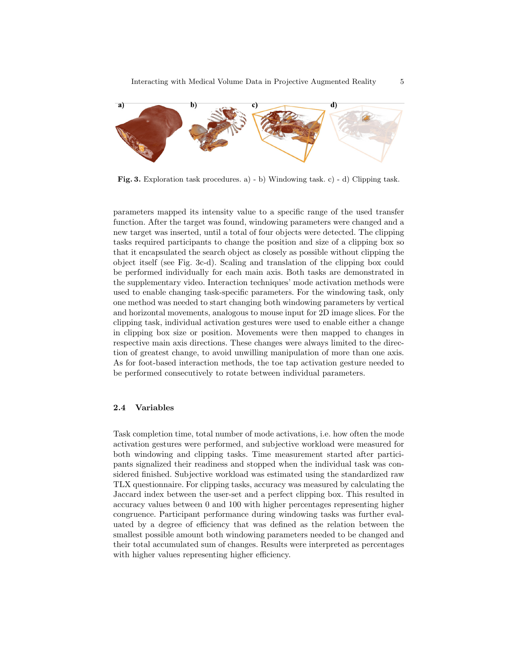

Fig. 3. Exploration task procedures. a) - b) Windowing task. c) - d) Clipping task.

parameters mapped its intensity value to a specific range of the used transfer function. After the target was found, windowing parameters were changed and a new target was inserted, until a total of four objects were detected. The clipping tasks required participants to change the position and size of a clipping box so that it encapsulated the search object as closely as possible without clipping the object itself (see Fig. 3c-d). Scaling and translation of the clipping box could be performed individually for each main axis. Both tasks are demonstrated in the supplementary video. Interaction techniques' mode activation methods were used to enable changing task-specific parameters. For the windowing task, only one method was needed to start changing both windowing parameters by vertical and horizontal movements, analogous to mouse input for 2D image slices. For the clipping task, individual activation gestures were used to enable either a change in clipping box size or position. Movements were then mapped to changes in respective main axis directions. These changes were always limited to the direction of greatest change, to avoid unwilling manipulation of more than one axis. As for foot-based interaction methods, the toe tap activation gesture needed to be performed consecutively to rotate between individual parameters.

## 2.4 Variables

Task completion time, total number of mode activations, i.e. how often the mode activation gestures were performed, and subjective workload were measured for both windowing and clipping tasks. Time measurement started after participants signalized their readiness and stopped when the individual task was considered finished. Subjective workload was estimated using the standardized raw TLX questionnaire. For clipping tasks, accuracy was measured by calculating the Jaccard index between the user-set and a perfect clipping box. This resulted in accuracy values between 0 and 100 with higher percentages representing higher congruence. Participant performance during windowing tasks was further evaluated by a degree of efficiency that was defined as the relation between the smallest possible amount both windowing parameters needed to be changed and their total accumulated sum of changes. Results were interpreted as percentages with higher values representing higher efficiency.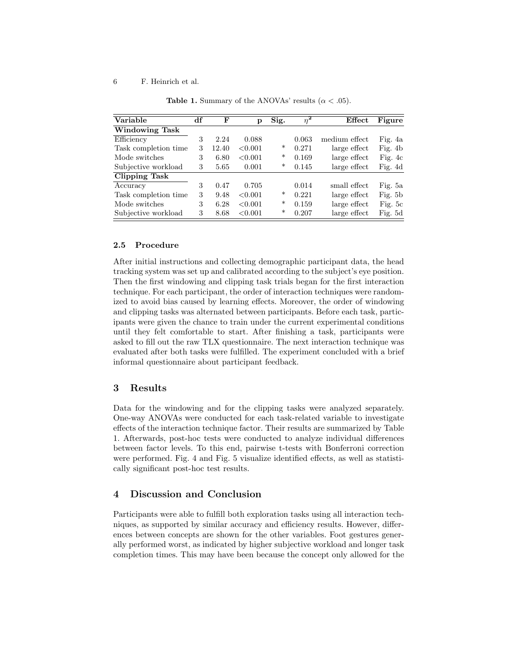#### 6 F. Heinrich et al.

| Variable             | df | F     | р       | Sig.   | $\overline{\eta^2}$ | Effect        | Figure    |
|----------------------|----|-------|---------|--------|---------------------|---------------|-----------|
| Windowing Task       |    |       |         |        |                     |               |           |
| Efficiency           | 3  | 2.24  | 0.088   |        | 0.063               | medium effect | Fig. 4a   |
| Task completion time | 3  | 12.40 | < 0.001 | *      | 0.271               | large effect  | Fig. $4b$ |
| Mode switches        | 3  | 6.80  | < 0.001 | $\ast$ | 0.169               | large effect  | Fig. $4c$ |
| Subjective workload  | 3  | 5.65  | 0.001   | *      | 0.145               | large effect  | Fig. 4d   |
| <b>Clipping Task</b> |    |       |         |        |                     |               |           |
| Accuracy             | 3  | 0.47  | 0.705   |        | 0.014               | small effect  | Fig. 5a   |
| Task completion time | 3  | 9.48  | < 0.001 | *      | 0.221               | large effect  | Fig. $5b$ |
| Mode switches        | 3  | 6.28  | < 0.001 | $\ast$ | 0.159               | large effect  | Fig. 5c   |
| Subjective workload  | 3  | 8.68  | < 0.001 | *      | 0.207               | large effect  | Fig. 5d   |

**Table 1.** Summary of the ANOVAs' results ( $\alpha$  < .05).

## 2.5 Procedure

After initial instructions and collecting demographic participant data, the head tracking system was set up and calibrated according to the subject's eye position. Then the first windowing and clipping task trials began for the first interaction technique. For each participant, the order of interaction techniques were randomized to avoid bias caused by learning effects. Moreover, the order of windowing and clipping tasks was alternated between participants. Before each task, participants were given the chance to train under the current experimental conditions until they felt comfortable to start. After finishing a task, participants were asked to fill out the raw TLX questionnaire. The next interaction technique was evaluated after both tasks were fulfilled. The experiment concluded with a brief informal questionnaire about participant feedback.

# 3 Results

Data for the windowing and for the clipping tasks were analyzed separately. One-way ANOVAs were conducted for each task-related variable to investigate effects of the interaction technique factor. Their results are summarized by Table 1. Afterwards, post-hoc tests were conducted to analyze individual differences between factor levels. To this end, pairwise t-tests with Bonferroni correction were performed. Fig. 4 and Fig. 5 visualize identified effects, as well as statistically significant post-hoc test results.

# 4 Discussion and Conclusion

Participants were able to fulfill both exploration tasks using all interaction techniques, as supported by similar accuracy and efficiency results. However, differences between concepts are shown for the other variables. Foot gestures generally performed worst, as indicated by higher subjective workload and longer task completion times. This may have been because the concept only allowed for the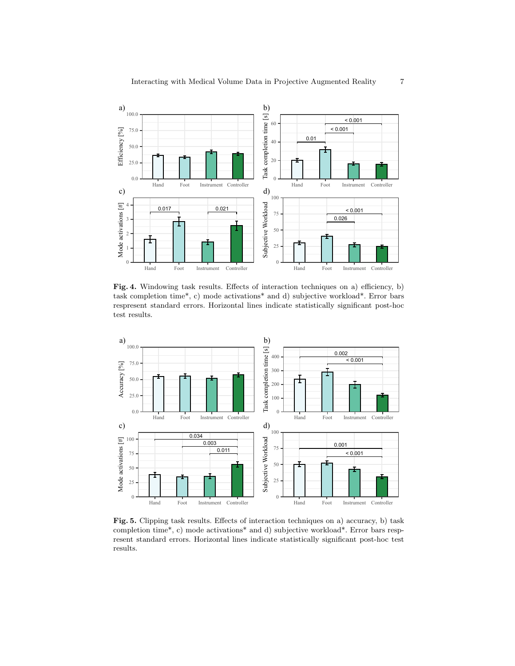

Fig. 4. Windowing task results. Effects of interaction techniques on a) efficiency, b) task completion time\*, c) mode activations\* and d) subjective workload\*. Error bars respresent standard errors. Horizontal lines indicate statistically significant post-hoc test results.



Fig. 5. Clipping task results. Effects of interaction techniques on a) accuracy, b) task completion time\*, c) mode activations\* and d) subjective workload\*. Error bars respresent standard errors. Horizontal lines indicate statistically significant post-hoc test results.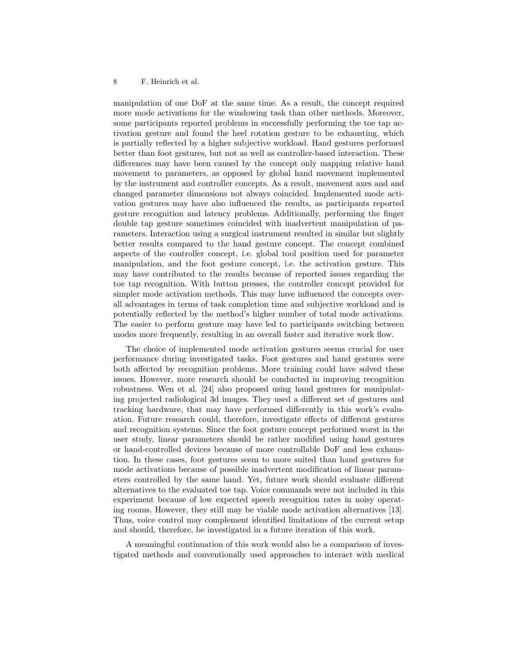#### 8 F. Heinrich et al.

manipulation of one DoF at the same time. As a result, the concept required more mode activations for the windowing task than other methods. Moreover, some participants reported problems in successfully performing the toe tap activation gesture and found the heel rotation gesture to be exhausting, which is partially reflected by a higher subjective workload. Hand gestures performed better than foot gestures, but not as well as controller-based interaction. These differences may have been caused by the concept only mapping relative hand movement to parameters, as opposed by global hand movement implemented by the instrument and controller concepts. As a result, movement axes and and changed parameter dimensions not always coincided. Implemented mode activation gestures may have also influenced the results, as participants reported gesture recognition and latency problems. Additionally, performing the finger double tap gesture sometimes coincided with inadvertent manipulation of parameters. Interaction using a surgical instrument resulted in similar but slightly better results compared to the hand gesture concept. The concept combined aspects of the controller concept, i.e. global tool position used for parameter manipulation, and the foot gesture concept, i.e. the activation gesture. This may have contributed to the results because of reported issues regarding the toe tap recognition. With button presses, the controller concept provided for simpler mode activation methods. This may have influenced the concepts overall advantages in terms of task completion time and subjective workload and is potentially reflected by the method's higher number of total mode activations. The easier to perform gesture may have led to participants switching between modes more frequently, resulting in an overall faster and iterative work flow.

The choice of implemented mode activation gestures seems crucial for user performance during investigated tasks. Foot gestures and hand gestures were both affected by recognition problems. More training could have solved these issues. However, more research should be conducted in improving recognition robustness. Wen et al. [24] also proposed using hand gestures for manipulating projected radiological 3d images. They used a different set of gestures and tracking hardware, that may have performed differently in this work's evaluation. Future research could, therefore, investigate effects of different gestures and recognition systems. Since the foot gesture concept performed worst in the user study, linear parameters should be rather modified using hand gestures or hand-controlled devices because of more controllable DoF and less exhaustion. In these cases, foot gestures seem to more suited than hand gestures for mode activations because of possible inadvertent modification of linear parameters controlled by the same hand. Yet, future work should evaluate different alternatives to the evaluated toe tap. Voice commands were not included in this experiment because of low expected speech recognition rates in noisy operating rooms. However, they still may be viable mode activation alternatives [13]. Thus, voice control may complement identified limitations of the current setup and should, therefore, be investigated in a future iteration of this work.

A meaningful continuation of this work would also be a comparison of investigated methods and conventionally used approaches to interact with medical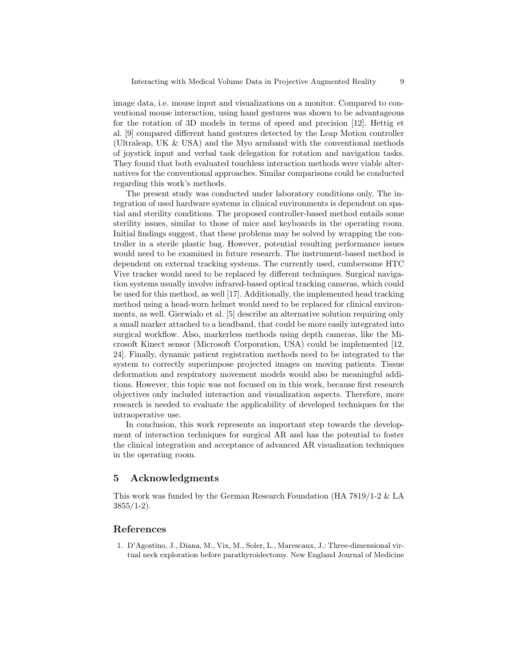image data, i.e. mouse input and visualizations on a monitor. Compared to conventional mouse interaction, using hand gestures was shown to be advantageous for the rotation of 3D models in terms of speed and precision [12]. Hettig et al. [9] compared different hand gestures detected by the Leap Motion controller (Ultraleap, UK & USA) and the Myo armband with the conventional methods of joystick input and verbal task delegation for rotation and navigation tasks. They found that both evaluated touchless interaction methods were viable alternatives for the conventional approaches. Similar comparisons could be conducted regarding this work's methods.

The present study was conducted under laboratory conditions only. The integration of used hardware systems in clinical environments is dependent on spatial and sterility conditions. The proposed controller-based method entails some sterility issues, similar to those of mice and keyboards in the operating room. Initial findings suggest, that these problems may be solved by wrapping the controller in a sterile plastic bag. However, potential resulting performance issues would need to be examined in future research. The instrument-based method is dependent on external tracking systems. The currently used, cumbersome HTC Vive tracker would need to be replaced by different techniques. Surgical navigation systems usually involve infrared-based optical tracking cameras, which could be used for this method, as well [17]. Additionally, the implemented head tracking method using a head-worn helmet would need to be replaced for clinical environments, as well. Gierwialo et al. [5] describe an alternative solution requiring only a small marker attached to a headband, that could be more easily integrated into surgical workflow. Also, markerless methods using depth cameras, like the Microsoft Kinect sensor (Microsoft Corporation, USA) could be implemented [12, 24]. Finally, dynamic patient registration methods need to be integrated to the system to correctly superimpose projected images on moving patients. Tissue deformation and respiratory movement models would also be meaningful additions. However, this topic was not focused on in this work, because first research objectives only included interaction and visualization aspects. Therefore, more research is needed to evaluate the applicability of developed techniques for the intraoperative use.

In conclusion, this work represents an important step towards the development of interaction techniques for surgical AR and has the potential to foster the clinical integration and acceptance of advanced AR visualization techniques in the operating room.

## 5 Acknowledgments

This work was funded by the German Research Foundation (HA 7819/1-2 & LA  $3855/1-2$ ).

## References

1. D'Agostino, J., Diana, M., Vix, M., Soler, L., Marescaux, J.: Three-dimensional virtual neck exploration before parathyroidectomy. New England Journal of Medicine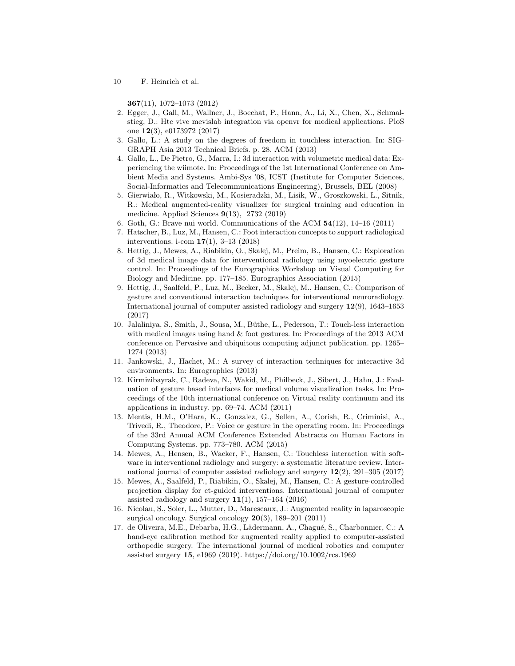10 F. Heinrich et al.

367(11), 1072–1073 (2012)

- 2. Egger, J., Gall, M., Wallner, J., Boechat, P., Hann, A., Li, X., Chen, X., Schmalstieg, D.: Htc vive mevislab integration via openvr for medical applications. PloS one 12(3), e0173972 (2017)
- 3. Gallo, L.: A study on the degrees of freedom in touchless interaction. In: SIG-GRAPH Asia 2013 Technical Briefs. p. 28. ACM (2013)
- 4. Gallo, L., De Pietro, G., Marra, I.: 3d interaction with volumetric medical data: Experiencing the wiimote. In: Proceedings of the 1st International Conference on Ambient Media and Systems. Ambi-Sys '08, ICST (Institute for Computer Sciences, Social-Informatics and Telecommunications Engineering), Brussels, BEL (2008)
- 5. Gierwiało, R., Witkowski, M., Kosieradzki, M., Lisik, W., Groszkowski, L., Sitnik, R.: Medical augmented-reality visualizer for surgical training and education in medicine. Applied Sciences 9(13), 2732 (2019)
- 6. Goth, G.: Brave nui world. Communications of the ACM 54(12), 14–16 (2011)
- 7. Hatscher, B., Luz, M., Hansen, C.: Foot interaction concepts to support radiological interventions. i-com 17(1), 3–13 (2018)
- 8. Hettig, J., Mewes, A., Riabikin, O., Skalej, M., Preim, B., Hansen, C.: Exploration of 3d medical image data for interventional radiology using myoelectric gesture control. In: Proceedings of the Eurographics Workshop on Visual Computing for Biology and Medicine. pp. 177–185. Eurographics Association (2015)
- 9. Hettig, J., Saalfeld, P., Luz, M., Becker, M., Skalej, M., Hansen, C.: Comparison of gesture and conventional interaction techniques for interventional neuroradiology. International journal of computer assisted radiology and surgery 12(9), 1643–1653 (2017)
- 10. Jalaliniya, S., Smith, J., Sousa, M., Büthe, L., Pederson, T.: Touch-less interaction with medical images using hand & foot gestures. In: Proceedings of the 2013 ACM conference on Pervasive and ubiquitous computing adjunct publication. pp. 1265– 1274 (2013)
- 11. Jankowski, J., Hachet, M.: A survey of interaction techniques for interactive 3d environments. In: Eurographics (2013)
- 12. Kirmizibayrak, C., Radeva, N., Wakid, M., Philbeck, J., Sibert, J., Hahn, J.: Evaluation of gesture based interfaces for medical volume visualization tasks. In: Proceedings of the 10th international conference on Virtual reality continuum and its applications in industry. pp. 69–74. ACM (2011)
- 13. Mentis, H.M., O'Hara, K., Gonzalez, G., Sellen, A., Corish, R., Criminisi, A., Trivedi, R., Theodore, P.: Voice or gesture in the operating room. In: Proceedings of the 33rd Annual ACM Conference Extended Abstracts on Human Factors in Computing Systems. pp. 773–780. ACM (2015)
- 14. Mewes, A., Hensen, B., Wacker, F., Hansen, C.: Touchless interaction with software in interventional radiology and surgery: a systematic literature review. International journal of computer assisted radiology and surgery 12(2), 291–305 (2017)
- 15. Mewes, A., Saalfeld, P., Riabikin, O., Skalej, M., Hansen, C.: A gesture-controlled projection display for ct-guided interventions. International journal of computer assisted radiology and surgery  $11(1)$ , 157–164 (2016)
- 16. Nicolau, S., Soler, L., Mutter, D., Marescaux, J.: Augmented reality in laparoscopic surgical oncology. Surgical oncology 20(3), 189–201 (2011)
- 17. de Oliveira, M.E., Debarba, H.G., Lädermann, A., Chagué, S., Charbonnier, C.: A hand-eye calibration method for augmented reality applied to computer-assisted orthopedic surgery. The international journal of medical robotics and computer assisted surgery 15, e1969 (2019). https://doi.org/10.1002/rcs.1969